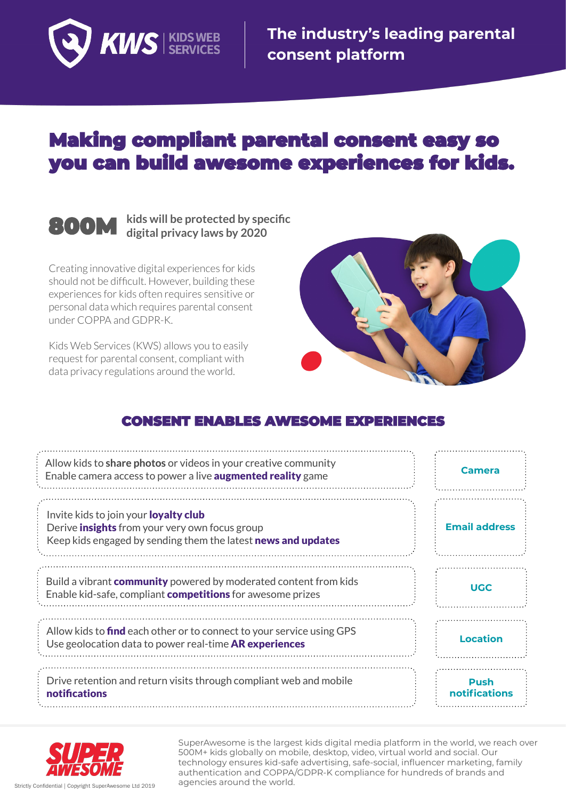

**The industry's leading parental consent platform**

# **Making compliant parental consent easy so** you can build awesome experiences for kids.

#### **kids will be protected by specific 800M digital privacy laws by 2020**

Creating innovative digital experiences for kids should not be difficult. However, building these experiences for kids often requires sensitive or personal data which requires parental consent under COPPA and GDPR-K.

Kids Web Services (KWS) allows you to easily request for parental consent, compliant with data privacy regulations around the world.



# **CONSENT ENABLES AWESOME EXPERIENCES**

| Allow kids to share photos or videos in your creative community<br>Enable camera access to power a live <b>augmented reality</b> game                                  | Camera                       |
|------------------------------------------------------------------------------------------------------------------------------------------------------------------------|------------------------------|
| Invite kids to join your <b>loyalty club</b><br>Derive <b>insights</b> from your very own focus group<br>Keep kids engaged by sending them the latest news and updates | <b>Email address</b>         |
| Build a vibrant <b>community</b> powered by moderated content from kids<br>Enable kid-safe, compliant <b>competitions</b> for awesome prizes                           | <b>UGC</b>                   |
| Allow kids to <b>find</b> each other or to connect to your service using GPS<br>Use geolocation data to power real-time AR experiences                                 | <b>Location</b>              |
| Drive retention and return visits through compliant web and mobile<br>notifications                                                                                    | <b>Push</b><br>notifications |



SuperAwesome is the largest kids digital media platform in the world, we reach over 500M+ kids globally on mobile, desktop, video, virtual world and social. Our technology ensures kid-safe advertising, safe-social, influencer marketing, family authentication and COPPA/GDPR-K compliance for hundreds of brands and agencies around the world. Strictly Confidential | Copyright SuperAwesome Ltd 2019